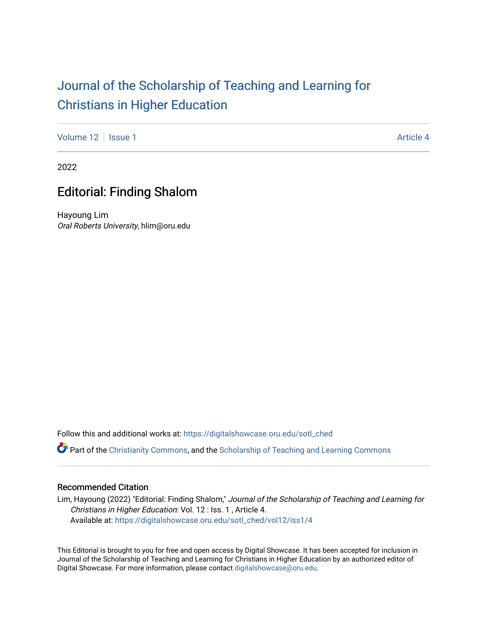## [Journal of the Scholarship of Teaching and Learning for](https://digitalshowcase.oru.edu/sotl_ched)  [Christians in Higher Education](https://digitalshowcase.oru.edu/sotl_ched)

[Volume 12](https://digitalshowcase.oru.edu/sotl_ched/vol12) Setup 1 Article 4

2022

## Editorial: Finding Shalom

Hayoung Lim Oral Roberts University, hlim@oru.edu

Follow this and additional works at: [https://digitalshowcase.oru.edu/sotl\\_ched](https://digitalshowcase.oru.edu/sotl_ched?utm_source=digitalshowcase.oru.edu%2Fsotl_ched%2Fvol12%2Fiss1%2F4&utm_medium=PDF&utm_campaign=PDFCoverPages) 

Part of the [Christianity Commons,](https://network.bepress.com/hgg/discipline/1181?utm_source=digitalshowcase.oru.edu%2Fsotl_ched%2Fvol12%2Fiss1%2F4&utm_medium=PDF&utm_campaign=PDFCoverPages) and the [Scholarship of Teaching and Learning Commons](https://network.bepress.com/hgg/discipline/1328?utm_source=digitalshowcase.oru.edu%2Fsotl_ched%2Fvol12%2Fiss1%2F4&utm_medium=PDF&utm_campaign=PDFCoverPages) 

### Recommended Citation

Lim, Hayoung (2022) "Editorial: Finding Shalom," Journal of the Scholarship of Teaching and Learning for Christians in Higher Education: Vol. 12 : Iss. 1 , Article 4. Available at: [https://digitalshowcase.oru.edu/sotl\\_ched/vol12/iss1/4](https://digitalshowcase.oru.edu/sotl_ched/vol12/iss1/4?utm_source=digitalshowcase.oru.edu%2Fsotl_ched%2Fvol12%2Fiss1%2F4&utm_medium=PDF&utm_campaign=PDFCoverPages) 

This Editorial is brought to you for free and open access by Digital Showcase. It has been accepted for inclusion in Journal of the Scholarship of Teaching and Learning for Christians in Higher Education by an authorized editor of Digital Showcase. For more information, please contact [digitalshowcase@oru.edu.](mailto:digitalshowcase@oru.edu)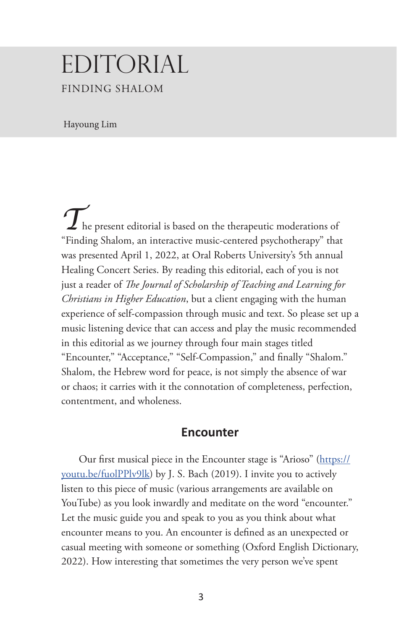# **EDITORIAL** FINDING SHALOM

Hayoung Lim

*T*he present editorial is based on the therapeutic moderations of "Finding Shalom, an interactive music-centered psychotherapy" that was presented April 1, 2022, at Oral Roberts University's 5th annual Healing Concert Series. By reading this editorial, each of you is not just a reader of *The Journal of Scholarship of Teaching and Learning for Christians in Higher Education*, but a client engaging with the human experience of self-compassion through music and text. So please set up a music listening device that can access and play the music recommended in this editorial as we journey through four main stages titled "Encounter," "Acceptance," "Self-Compassion," and finally "Shalom." Shalom, the Hebrew word for peace, is not simply the absence of war or chaos; it carries with it the connotation of completeness, perfection, contentment, and wholeness.

#### **Encounter**

Our first musical piece in the Encounter stage is "Arioso" (https:// youtu.be/fuolPPlv9lk) by J. S. Bach (2019). I invite you to actively listen to this piece of music (various arrangements are available on YouTube) as you look inwardly and meditate on the word "encounter." Let the music guide you and speak to you as you think about what encounter means to you. An encounter is defined as an unexpected or casual meeting with someone or something (Oxford English Dictionary, 2022). How interesting that sometimes the very person we've spent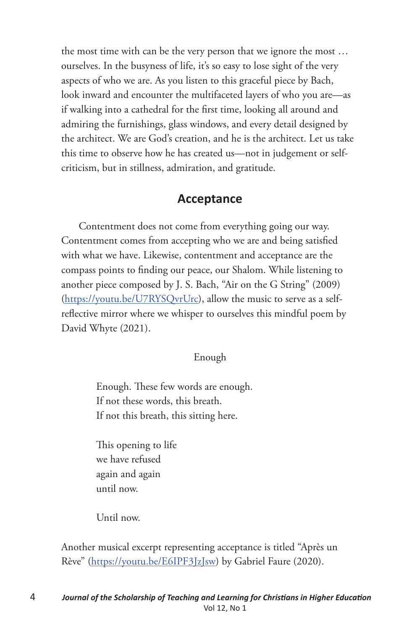the most time with can be the very person that we ignore the most … ourselves. In the busyness of life, it's so easy to lose sight of the very aspects of who we are. As you listen to this graceful piece by Bach, look inward and encounter the multifaceted layers of who you are—as if walking into a cathedral for the first time, looking all around and admiring the furnishings, glass windows, and every detail designed by the architect. We are God's creation, and he is the architect. Let us take this time to observe how he has created us—not in judgement or selfcriticism, but in stillness, admiration, and gratitude.

## **Acceptance**

Contentment does not come from everything going our way. Contentment comes from accepting who we are and being satisfied with what we have. Likewise, contentment and acceptance are the compass points to finding our peace, our Shalom. While listening to another piece composed by J. S. Bach, "Air on the G String" (2009) (https://youtu.be/U7RYSQvrUrc), allow the music to serve as a selfreflective mirror where we whisper to ourselves this mindful poem by David Whyte (2021).

#### Enough

Enough. These few words are enough. If not these words, this breath. If not this breath, this sitting here.

This opening to life we have refused again and again until now.

Until now.

Another musical excerpt representing acceptance is titled "Après un Rève" (https://youtu.be/E6IPF3JzJsw) by Gabriel Faure (2020).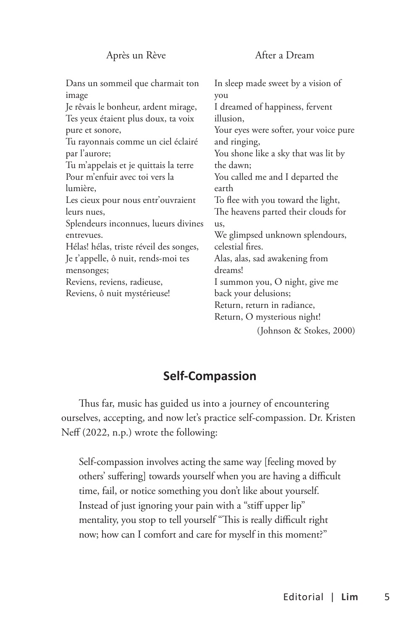| Dans un sommeil que charmait ton        | In sleep made sweet by a vision of     |
|-----------------------------------------|----------------------------------------|
| image                                   | you                                    |
| Je rêvais le bonheur, ardent mirage,    | I dreamed of happiness, fervent        |
| Tes yeux étaient plus doux, ta voix     | illusion,                              |
| pure et sonore,                         | Your eyes were softer, your voice pure |
| Tu rayonnais comme un ciel éclairé      | and ringing,                           |
| par l'aurore;                           | You shone like a sky that was lit by   |
| Tu m'appelais et je quittais la terre   | the dawn;                              |
| Pour m'enfuir avec toi vers la          | You called me and I departed the       |
| lumière,                                | earth                                  |
| Les cieux pour nous entr'ouvraient      | To flee with you toward the light,     |
| leurs nues,                             | The heavens parted their clouds for    |
| Splendeurs inconnues, lueurs divines    | us,                                    |
| entrevues.                              | We glimpsed unknown splendours,        |
| Hélas! hélas, triste réveil des songes, | celestial fires.                       |
| Je t'appelle, ô nuit, rends-moi tes     | Alas, alas, sad awakening from         |
| mensonges;                              | dreams!                                |
| Reviens, reviens, radieuse,             | I summon you, O night, give me         |
| Reviens, ô nuit mystérieuse!            | back your delusions;                   |
|                                         | Return, return in radiance,            |
|                                         | Return, O mysterious night!            |
|                                         | (Johnson & Stokes, 2000)               |

## **Self-Compassion**

Thus far, music has guided us into a journey of encountering ourselves, accepting, and now let's practice self-compassion. Dr. Kristen Neff (2022, n.p.) wrote the following:

Self-compassion involves acting the same way [feeling moved by others' suffering] towards yourself when you are having a difficult time, fail, or notice something you don't like about yourself. Instead of just ignoring your pain with a "stiff upper lip" mentality, you stop to tell yourself "This is really difficult right now; how can I comfort and care for myself in this moment?"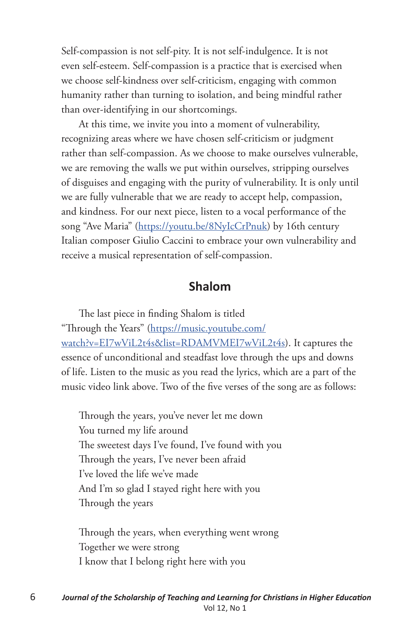Self-compassion is not self-pity. It is not self-indulgence. It is not even self-esteem. Self-compassion is a practice that is exercised when we choose self-kindness over self-criticism, engaging with common humanity rather than turning to isolation, and being mindful rather than over-identifying in our shortcomings.

At this time, we invite you into a moment of vulnerability, recognizing areas where we have chosen self-criticism or judgment rather than self-compassion. As we choose to make ourselves vulnerable, we are removing the walls we put within ourselves, stripping ourselves of disguises and engaging with the purity of vulnerability. It is only until we are fully vulnerable that we are ready to accept help, compassion, and kindness. For our next piece, listen to a vocal performance of the song "Ave Maria" (https://youtu.be/8NyIcCrPnuk) by 16th century Italian composer Giulio Caccini to embrace your own vulnerability and receive a musical representation of self-compassion.

### **Shalom**

The last piece in finding Shalom is titled "Through the Years" (https://music.youtube.com/ watch?v=EI7wViL2t4s&list=RDAMVMEI7wViL2t4s). It captures the essence of unconditional and steadfast love through the ups and downs of life. Listen to the music as you read the lyrics, which are a part of the music video link above. Two of the five verses of the song are as follows:

Through the years, you've never let me down You turned my life around The sweetest days I've found, I've found with you Through the years, I've never been afraid I've loved the life we've made And I'm so glad I stayed right here with you Through the years

Through the years, when everything went wrong Together we were strong I know that I belong right here with you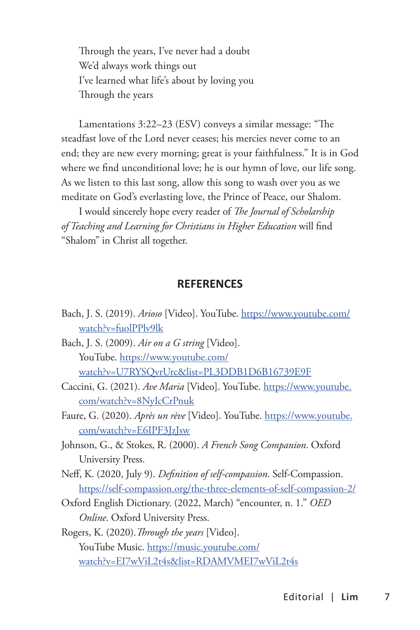Through the years, I've never had a doubt We'd always work things out I've learned what life's about by loving you Through the years

Lamentations 3:22–23 (ESV) conveys a similar message: "The steadfast love of the Lord never ceases; his mercies never come to an end; they are new every morning; great is your faithfulness." It is in God where we find unconditional love; he is our hymn of love, our life song. As we listen to this last song, allow this song to wash over you as we meditate on God's everlasting love, the Prince of Peace, our Shalom.

I would sincerely hope every reader of *The Journal of Scholarship of Teaching and Learning for Christians in Higher Education* will find "Shalom" in Christ all together.

#### **REFERENCES**

Bach, J. S. (2019). *Arioso* [Video]. YouTube. https://www.youtube.com/ watch?v=fuolPPlv9lk

Bach, J. S. (2009). *Air on a G string* [Video]. YouTube. https://www.youtube.com/ watch?v=U7RYSQvrUrc&list=PL3DDB1D6B16739E9F

- Caccini, G. (2021). *Ave Maria* [Video]. YouTube. https://www.youtube. com/watch?v=8NyIcCrPnuk
- Faure, G. (2020). *Après un rève* [Video]. YouTube. https://www.youtube. com/watch?v=E6IPF3JzJsw
- Johnson, G., & Stokes, R. (2000). *A French Song Companion*. Oxford University Press.
- Neff, K. (2020, July 9). *Definition of self-compassion*. Self-Compassion. https://self-compassion.org/the-three-elements-of-self-compassion-2/
- Oxford English Dictionary. (2022, March) "encounter, n. 1." *OED Online*. Oxford University Press.

Rogers, K. (2020).*Through the years* [Video]. YouTube Music. https://music.youtube.com/ watch?v=EI7wViL2t4s&list=RDAMVMEI7wViL2t4s